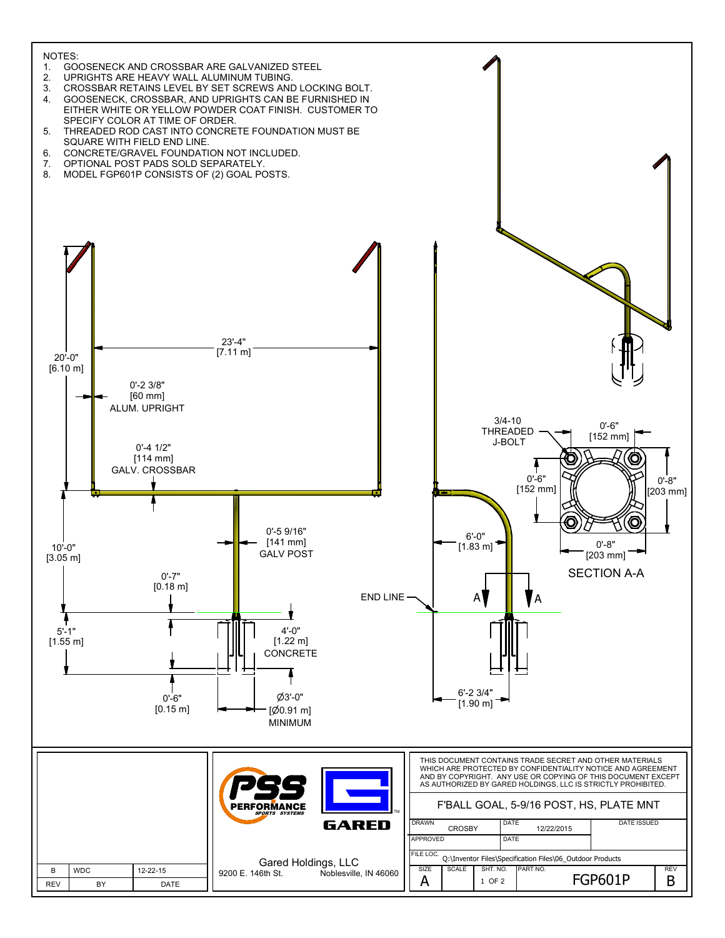